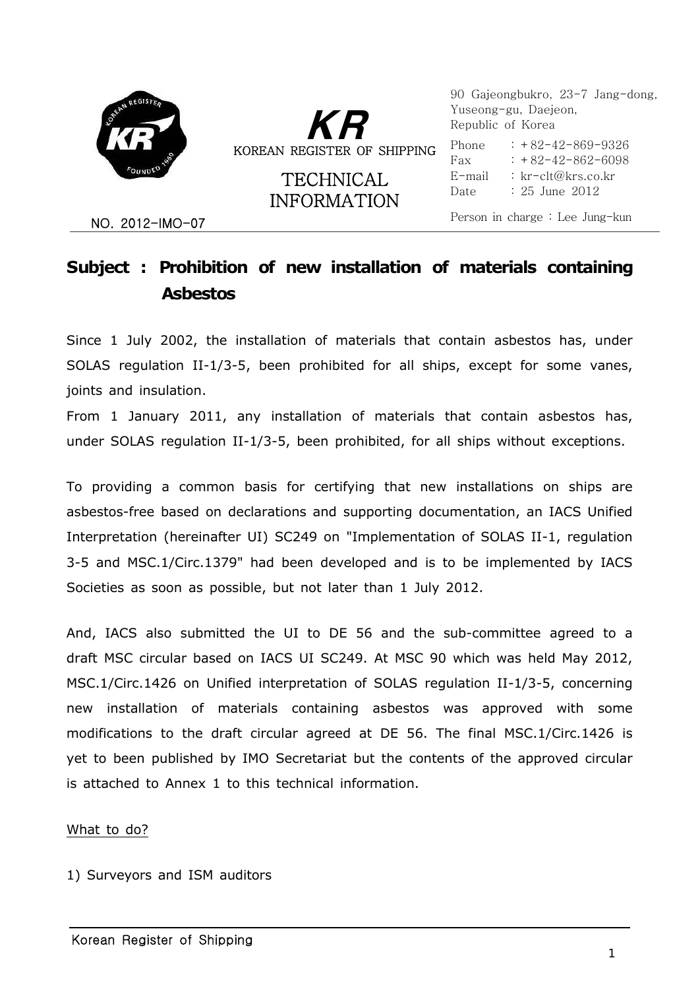



**TECHNICAL** INFORMATION

 : +82-42-869-9326 90 Gajeongbukro, 23-7 Jang-dong, Yuseong-gu, Daejeon, Republic of Korea Phone Fax E-mail Date  $: +82-42-862-6098$ : kr-clt@krs.co.kr : 25 June 2012

NO. 2012-IMO-07 Person in charge : Lee Jung-kun

## **Subject : Prohibition of new installation of materials containing Asbestos**

Since 1 July 2002, the installation of materials that contain asbestos has, under SOLAS regulation II-1/3-5, been prohibited for all ships, except for some vanes, joints and insulation.

From 1 January 2011, any installation of materials that contain asbestos has, under SOLAS regulation II-1/3-5, been prohibited, for all ships without exceptions.

To providing a common basis for certifying that new installations on ships are asbestos-free based on declarations and supporting documentation, an IACS Unified Interpretation (hereinafter UI) SC249 on "Implementation of SOLAS II-1, regulation 3-5 and MSC.1/Circ.1379" had been developed and is to be implemented by IACS Societies as soon as possible, but not later than 1 July 2012.

And, IACS also submitted the UI to DE 56 and the sub-committee agreed to a draft MSC circular based on IACS UI SC249. At MSC 90 which was held May 2012, MSC.1/Circ.1426 on Unified interpretation of SOLAS regulation II-1/3-5, concerning new installation of materials containing asbestos was approved with some modifications to the draft circular agreed at DE 56. The final MSC.1/Circ.1426 is yet to been published by IMO Secretariat but the contents of the approved circular is attached to Annex 1 to this technical information.

What to do?

1) Surveyors and ISM auditors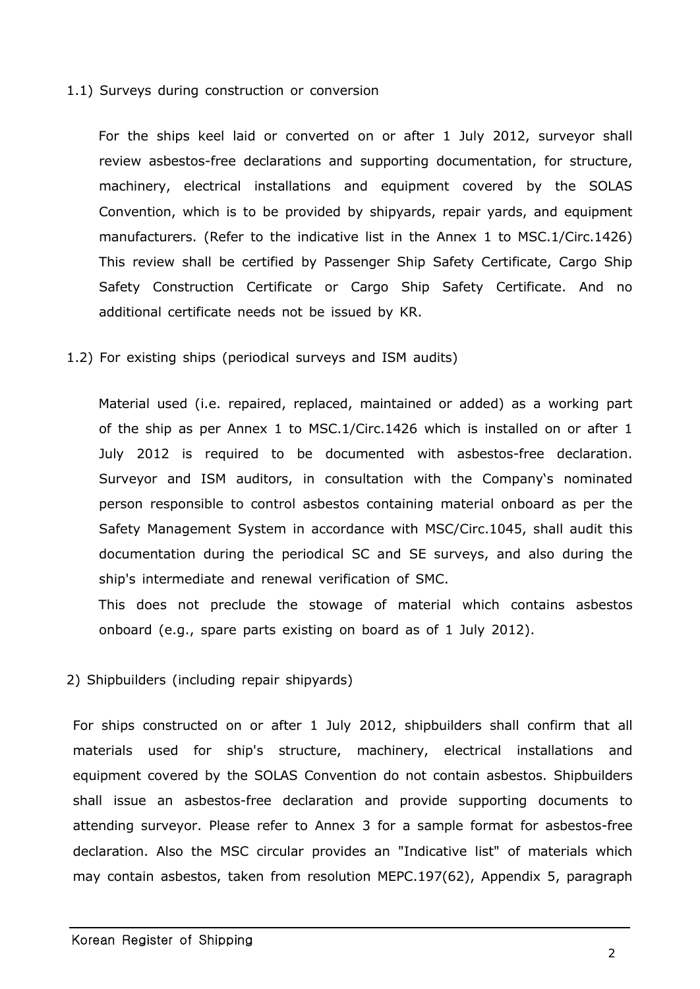#### 1.1) Surveys during construction or conversion

 For the ships keel laid or converted on or after 1 July 2012, surveyor shall review asbestos-free declarations and supporting documentation, for structure, machinery, electrical installations and equipment covered by the SOLAS Convention, which is to be provided by shipyards, repair yards, and equipment manufacturers. (Refer to the indicative list in the Annex 1 to MSC.1/Circ.1426) This review shall be certified by Passenger Ship Safety Certificate, Cargo Ship Safety Construction Certificate or Cargo Ship Safety Certificate. And no additional certificate needs not be issued by KR.

#### 1.2) For existing ships (periodical surveys and ISM audits)

 Material used (i.e. repaired, replaced, maintained or added) as a working part of the ship as per Annex 1 to MSC.1/Circ.1426 which is installed on or after 1 July 2012 is required to be documented with asbestos-free declaration. Surveyor and ISM auditors, in consultation with the Company's nominated person responsible to control asbestos containing material onboard as per the Safety Management System in accordance with MSC/Circ.1045, shall audit this documentation during the periodical SC and SE surveys, and also during the ship's intermediate and renewal verification of SMC.

 This does not preclude the stowage of material which contains asbestos onboard (e.g., spare parts existing on board as of 1 July 2012).

#### 2) Shipbuilders (including repair shipyards)

 For ships constructed on or after 1 July 2012, shipbuilders shall confirm that all materials used for ship's structure, machinery, electrical installations and equipment covered by the SOLAS Convention do not contain asbestos. Shipbuilders shall issue an asbestos-free declaration and provide supporting documents to attending surveyor. Please refer to Annex 3 for a sample format for asbestos-free declaration. Also the MSC circular provides an "Indicative list" of materials which may contain asbestos, taken from resolution MEPC.197(62), Appendix 5, paragraph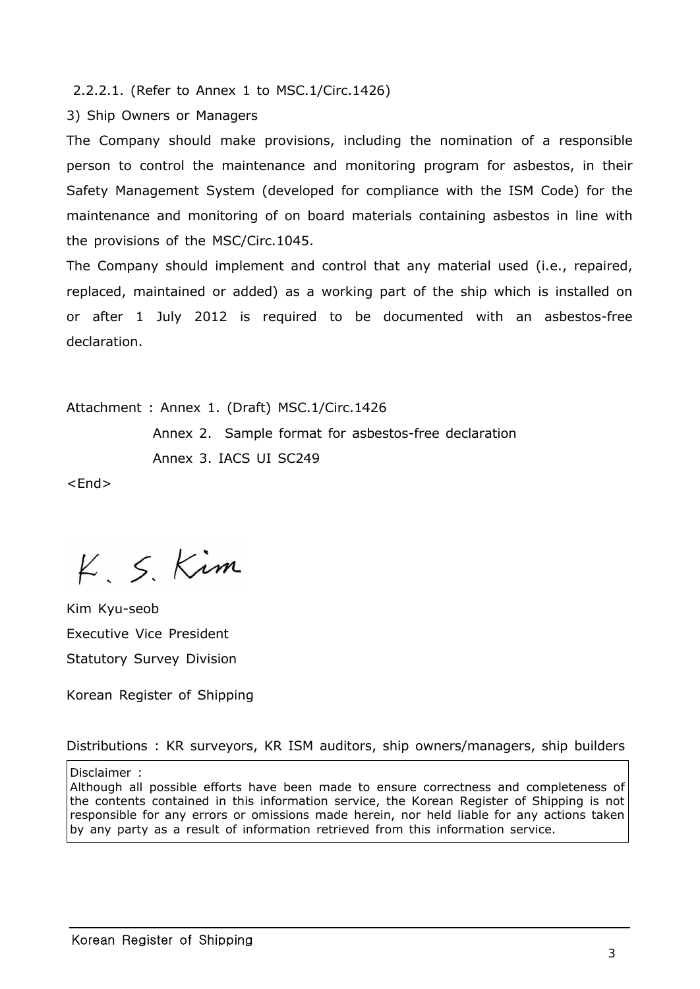2.2.2.1. (Refer to Annex 1 to MSC.1/Circ.1426)

3) Ship Owners or Managers

The Company should make provisions, including the nomination of a responsible person to control the maintenance and monitoring program for asbestos, in their Safety Management System (developed for compliance with the ISM Code) for the maintenance and monitoring of on board materials containing asbestos in line with the provisions of the MSC/Circ.1045.

The Company should implement and control that any material used (i.e., repaired, replaced, maintained or added) as a working part of the ship which is installed on or after 1 July 2012 is required to be documented with an asbestos-free declaration.

Attachment : Annex 1. (Draft) MSC.1/Circ.1426

 Annex 2. Sample format for asbestos-free declaration Annex 3. IACS UI SC249

<End>

 $K, S, Kim$ 

Kim Kyu-seob Executive Vice President Statutory Survey Division

Korean Register of Shipping

Distributions : KR surveyors, KR ISM auditors, ship owners/managers, ship builders

Disclaimer :

Although all possible efforts have been made to ensure correctness and completeness of the contents contained in this information service, the Korean Register of Shipping is not responsible for any errors or omissions made herein, nor held liable for any actions taken by any party as a result of information retrieved from this information service.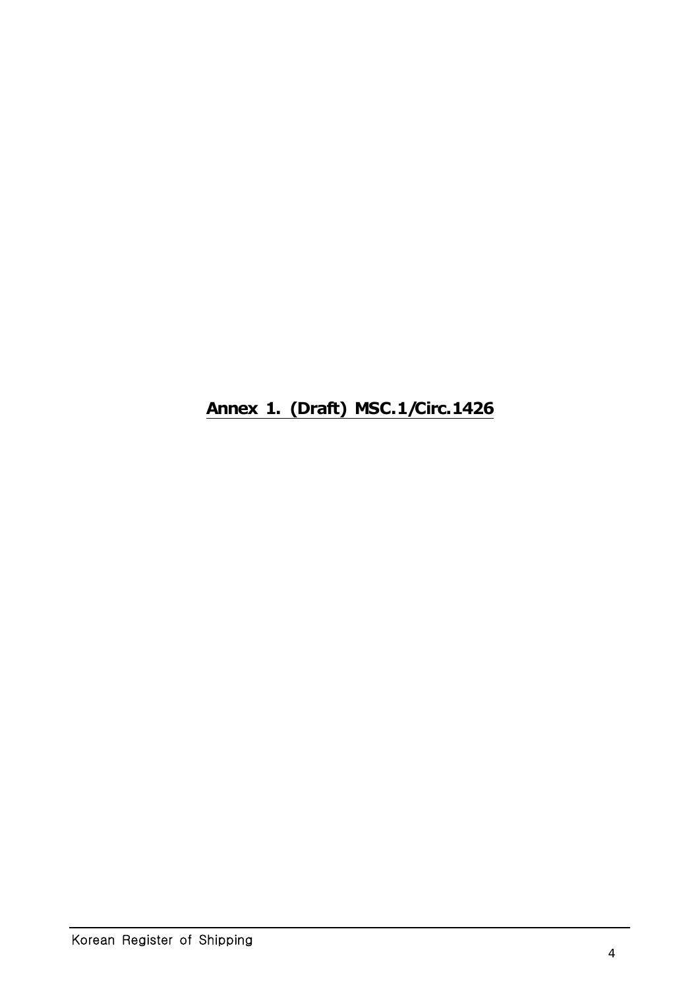# **Annex 1. (Draft) MSC.1/Circ.1426**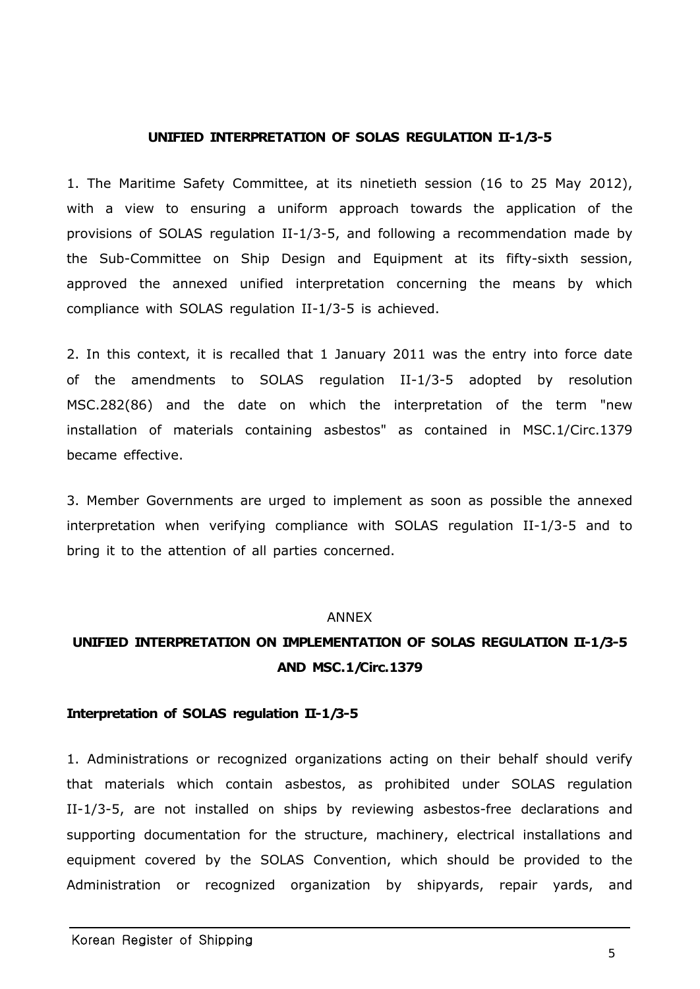#### **UNIFIED INTERPRETATION OF SOLAS REGULATION II-1/3-5**

1. The Maritime Safety Committee, at its ninetieth session (16 to 25 May 2012), with a view to ensuring a uniform approach towards the application of the provisions of SOLAS regulation II-1/3-5, and following a recommendation made by the Sub-Committee on Ship Design and Equipment at its fifty-sixth session, approved the annexed unified interpretation concerning the means by which compliance with SOLAS regulation II-1/3-5 is achieved.

2. In this context, it is recalled that 1 January 2011 was the entry into force date of the amendments to SOLAS regulation II-1/3-5 adopted by resolution MSC.282(86) and the date on which the interpretation of the term "new installation of materials containing asbestos" as contained in MSC.1/Circ.1379 became effective.

3. Member Governments are urged to implement as soon as possible the annexed interpretation when verifying compliance with SOLAS regulation II-1/3-5 and to bring it to the attention of all parties concerned.

#### ANNEX

## **UNIFIED INTERPRETATION ON IMPLEMENTATION OF SOLAS REGULATION II-1/3-5 AND MSC.1/Circ.1379**

#### **Interpretation of SOLAS regulation II-1/3-5**

1. Administrations or recognized organizations acting on their behalf should verify that materials which contain asbestos, as prohibited under SOLAS regulation II-1/3-5, are not installed on ships by reviewing asbestos-free declarations and supporting documentation for the structure, machinery, electrical installations and equipment covered by the SOLAS Convention, which should be provided to the Administration or recognized organization by shipyards, repair yards, and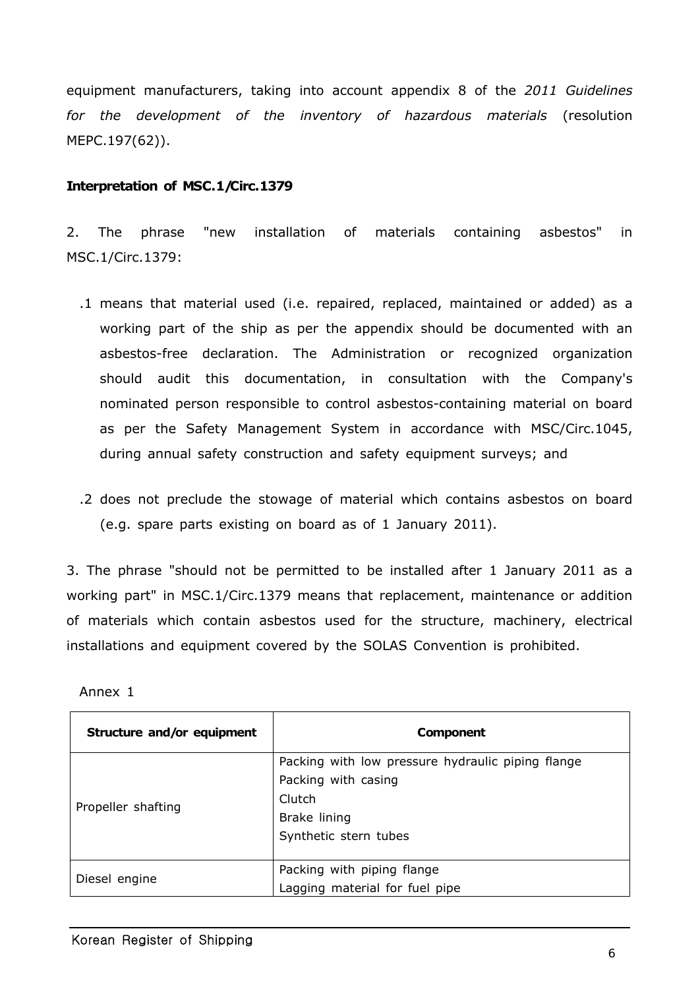equipment manufacturers, taking into account appendix 8 of the *2011 Guidelines for the development of the inventory of hazardous materials* (resolution MEPC.197(62)).

#### **Interpretation of MSC.1/Circ.1379**

2. The phrase "new installation of materials containing asbestos" in MSC.1/Circ.1379:

- .1 means that material used (i.e. repaired, replaced, maintained or added) as a working part of the ship as per the appendix should be documented with an asbestos-free declaration. The Administration or recognized organization should audit this documentation, in consultation with the Company's nominated person responsible to control asbestos-containing material on board as per the Safety Management System in accordance with MSC/Circ.1045, during annual safety construction and safety equipment surveys; and
- .2 does not preclude the stowage of material which contains asbestos on board (e.g. spare parts existing on board as of 1 January 2011).

3. The phrase "should not be permitted to be installed after 1 January 2011 as a working part" in MSC.1/Circ.1379 means that replacement, maintenance or addition of materials which contain asbestos used for the structure, machinery, electrical installations and equipment covered by the SOLAS Convention is prohibited.

| Annex 1 |  |
|---------|--|
|---------|--|

| Structure and/or equipment | <b>Component</b>                                  |
|----------------------------|---------------------------------------------------|
| Propeller shafting         | Packing with low pressure hydraulic piping flange |
|                            | Packing with casing                               |
|                            | Clutch                                            |
|                            | Brake lining                                      |
|                            | Synthetic stern tubes                             |
|                            |                                                   |
| Diesel engine              | Packing with piping flange                        |
|                            | Lagging material for fuel pipe                    |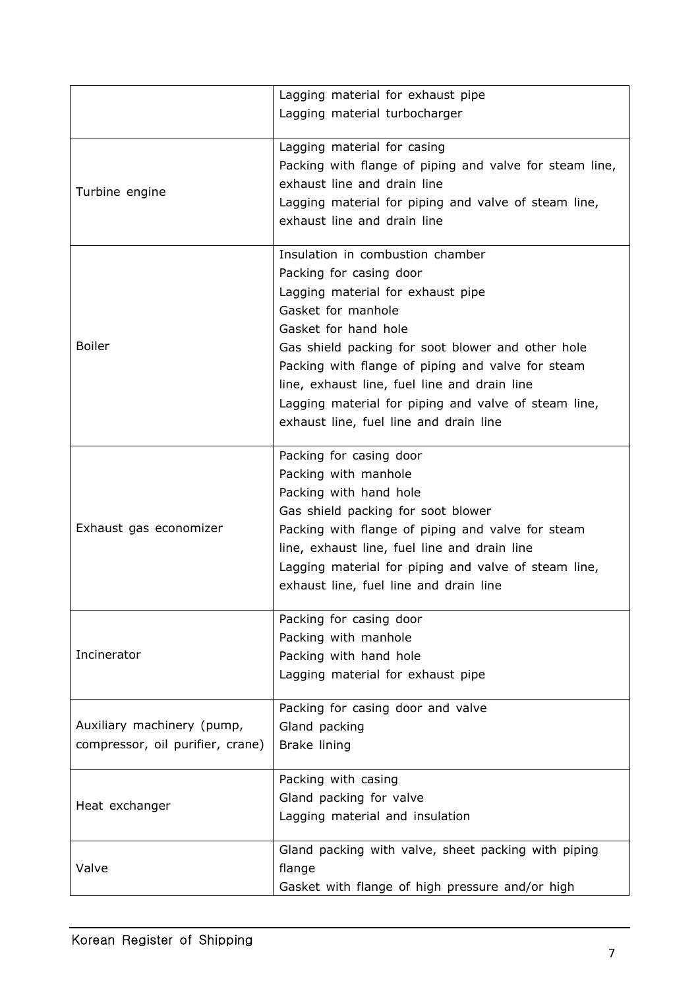|                                  | Lagging material for exhaust pipe                       |
|----------------------------------|---------------------------------------------------------|
|                                  | Lagging material turbocharger                           |
|                                  |                                                         |
|                                  | Lagging material for casing                             |
|                                  | Packing with flange of piping and valve for steam line, |
| Turbine engine                   | exhaust line and drain line                             |
|                                  | Lagging material for piping and valve of steam line,    |
|                                  | exhaust line and drain line                             |
|                                  | Insulation in combustion chamber                        |
|                                  | Packing for casing door                                 |
|                                  |                                                         |
|                                  | Lagging material for exhaust pipe                       |
|                                  | Gasket for manhole                                      |
|                                  | Gasket for hand hole                                    |
| <b>Boiler</b>                    | Gas shield packing for soot blower and other hole       |
|                                  | Packing with flange of piping and valve for steam       |
|                                  | line, exhaust line, fuel line and drain line            |
|                                  | Lagging material for piping and valve of steam line,    |
|                                  | exhaust line, fuel line and drain line                  |
|                                  | Packing for casing door                                 |
|                                  | Packing with manhole                                    |
| Exhaust gas economizer           | Packing with hand hole                                  |
|                                  |                                                         |
|                                  | Gas shield packing for soot blower                      |
|                                  | Packing with flange of piping and valve for steam       |
|                                  | line, exhaust line, fuel line and drain line            |
|                                  | Lagging material for piping and valve of steam line,    |
|                                  | exhaust line, fuel line and drain line                  |
|                                  | Packing for casing door                                 |
|                                  | Packing with manhole                                    |
| Incinerator                      | Packing with hand hole                                  |
|                                  | Lagging material for exhaust pipe                       |
|                                  |                                                         |
|                                  | Packing for casing door and valve                       |
| Auxiliary machinery (pump,       | Gland packing                                           |
| compressor, oil purifier, crane) | Brake lining                                            |
|                                  | Packing with casing                                     |
| Heat exchanger                   | Gland packing for valve                                 |
|                                  | Lagging material and insulation                         |
|                                  |                                                         |
| Valve                            | Gland packing with valve, sheet packing with piping     |
|                                  | flange                                                  |
|                                  | Gasket with flange of high pressure and/or high         |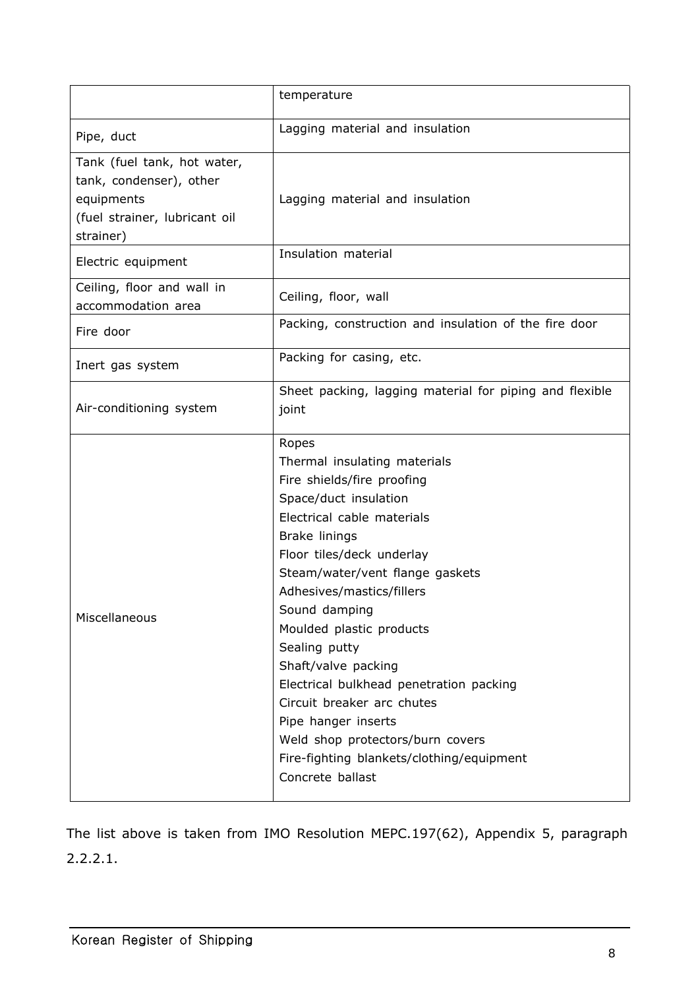|                                                                                                                    | temperature                                                                                                                                                                                                                                                                                                                                                                                                                                                                                                                        |
|--------------------------------------------------------------------------------------------------------------------|------------------------------------------------------------------------------------------------------------------------------------------------------------------------------------------------------------------------------------------------------------------------------------------------------------------------------------------------------------------------------------------------------------------------------------------------------------------------------------------------------------------------------------|
| Pipe, duct                                                                                                         | Lagging material and insulation                                                                                                                                                                                                                                                                                                                                                                                                                                                                                                    |
| Tank (fuel tank, hot water,<br>tank, condenser), other<br>equipments<br>(fuel strainer, lubricant oil<br>strainer) | Lagging material and insulation                                                                                                                                                                                                                                                                                                                                                                                                                                                                                                    |
| Electric equipment                                                                                                 | Insulation material                                                                                                                                                                                                                                                                                                                                                                                                                                                                                                                |
| Ceiling, floor and wall in<br>accommodation area                                                                   | Ceiling, floor, wall                                                                                                                                                                                                                                                                                                                                                                                                                                                                                                               |
| Fire door                                                                                                          | Packing, construction and insulation of the fire door                                                                                                                                                                                                                                                                                                                                                                                                                                                                              |
| Inert gas system                                                                                                   | Packing for casing, etc.                                                                                                                                                                                                                                                                                                                                                                                                                                                                                                           |
| Air-conditioning system                                                                                            | Sheet packing, lagging material for piping and flexible<br>joint                                                                                                                                                                                                                                                                                                                                                                                                                                                                   |
| Miscellaneous                                                                                                      | Ropes<br>Thermal insulating materials<br>Fire shields/fire proofing<br>Space/duct insulation<br>Electrical cable materials<br>Brake linings<br>Floor tiles/deck underlay<br>Steam/water/vent flange gaskets<br>Adhesives/mastics/fillers<br>Sound damping<br>Moulded plastic products<br>Sealing putty<br>Shaft/valve packing<br>Electrical bulkhead penetration packing<br>Circuit breaker arc chutes<br>Pipe hanger inserts<br>Weld shop protectors/burn covers<br>Fire-fighting blankets/clothing/equipment<br>Concrete ballast |

The list above is taken from IMO Resolution MEPC.197(62), Appendix 5, paragraph 2.2.2.1.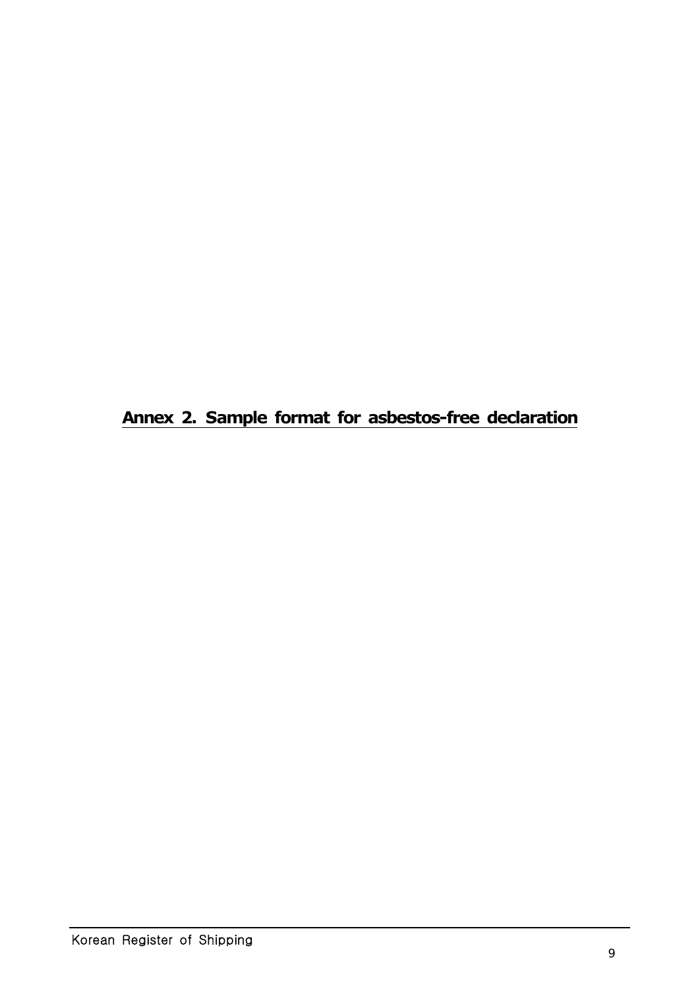**Annex 2. Sample format for asbestos-free declaration**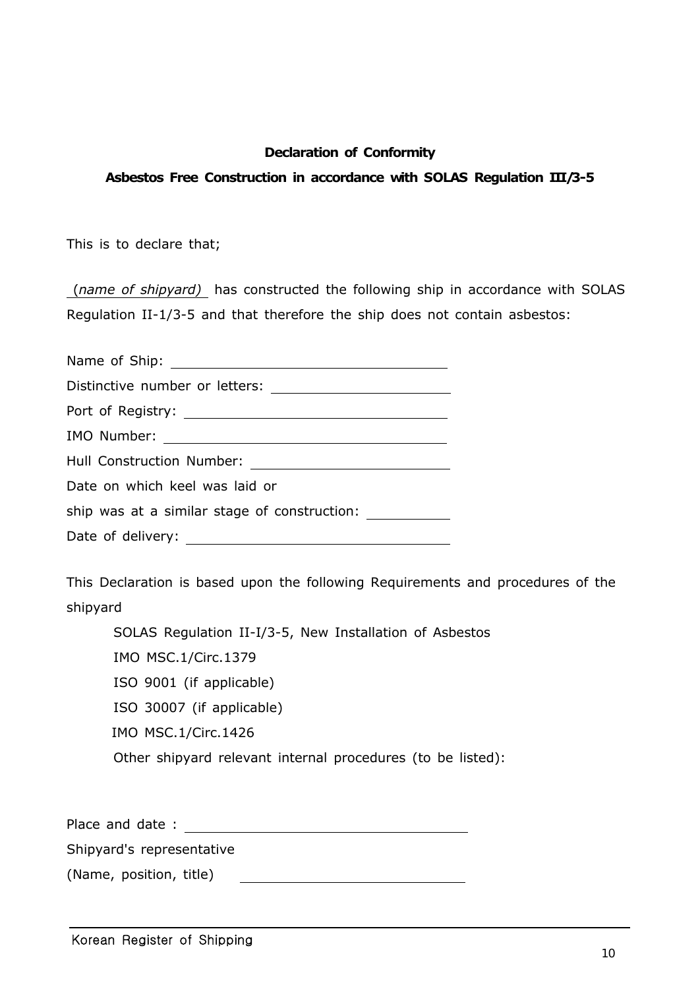#### **Declaration of Conformity**

#### **Asbestos Free Construction in accordance with SOLAS Regulation III/3-5**

This is to declare that;

 (*name of shipyard)* has constructed the following ship in accordance with SOLAS Regulation II-1/3-5 and that therefore the ship does not contain asbestos:

| Hull Construction Number: <u>______________________</u> |  |  |
|---------------------------------------------------------|--|--|
| Date on which keel was laid or                          |  |  |
|                                                         |  |  |
| Date of delivery:                                       |  |  |

This Declaration is based upon the following Requirements and procedures of the shipyard

SOLAS Regulation II-I/3-5, New Installation of Asbestos IMO MSC.1/Circ.1379 ISO 9001 (if applicable) ISO 30007 (if applicable) IMO MSC.1/Circ.1426 Other shipyard relevant internal procedures (to be listed):

Place and date : and the set of the set of the set of the set of the set of the set of the set of the set of the set of the set of the set of the set of the set of the set of the set of the set of the set of the set of the

Shipyard's representative

(Name, position, title)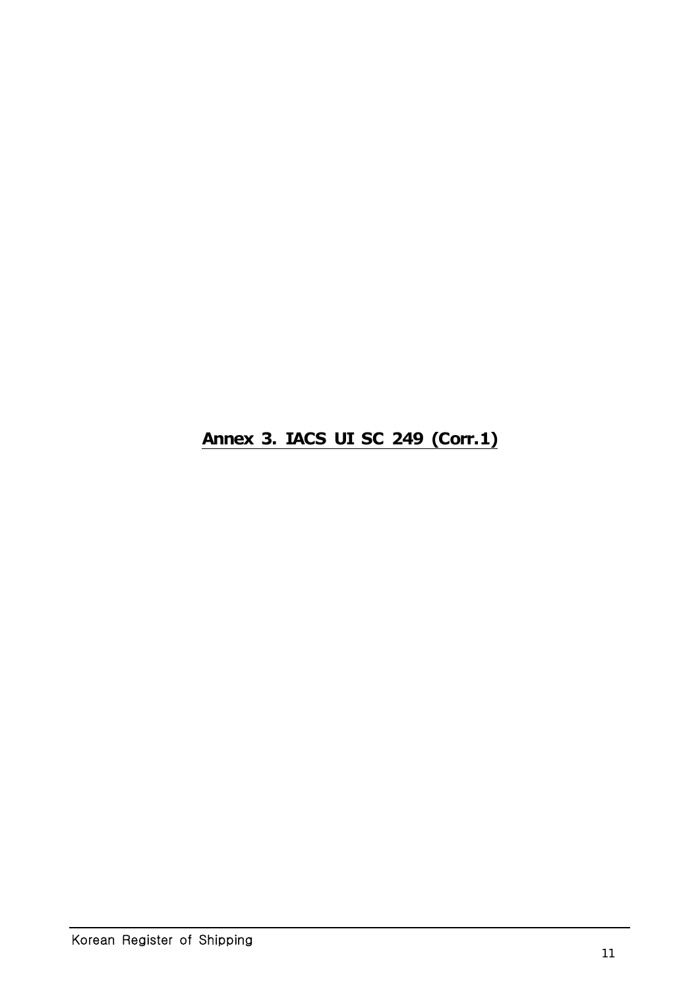**Annex 3. IACS UI SC 249 (Corr.1)**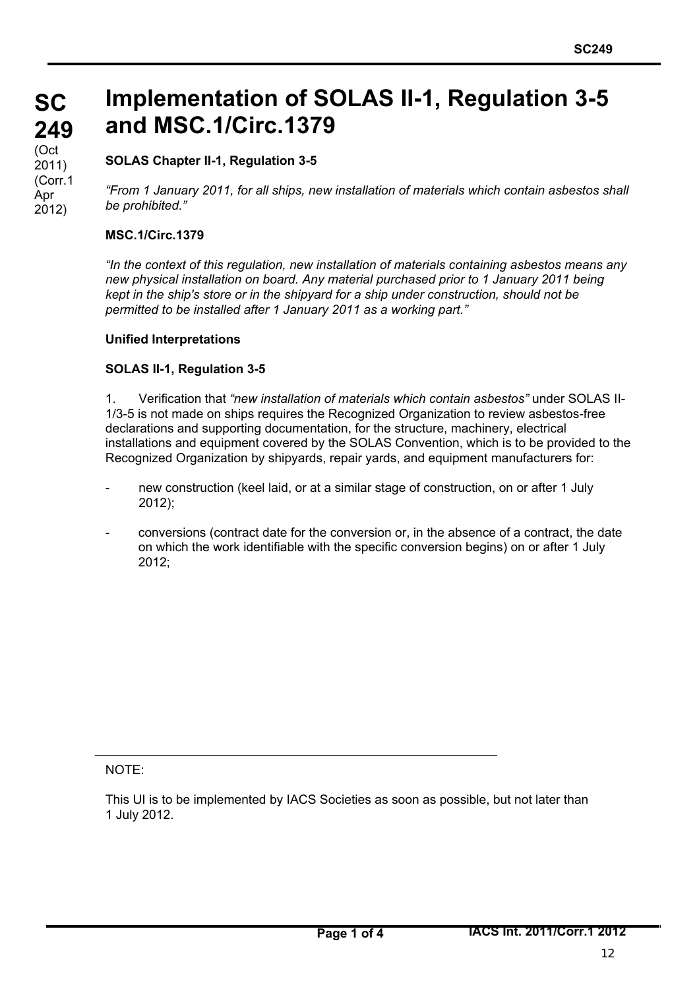#### **SC 249** (Oct 2011) (Corr.1 Apr 2012)

# **Implementation of SOLAS II-1, Regulation 3-5 and MSC.1/Circ.1379**

### **SOLAS Chapter II-1, Regulation 3-5**

*"From 1 January 2011, for all ships, new installation of materials which contain asbestos shall be prohibited."*

#### **MSC.1/Circ.1379**

*"In the context of this regulation, new installation of materials containing asbestos means any new physical installation on board. Any material purchased prior to 1 January 2011 being kept in the ship's store or in the shipyard for a ship under construction, should not be permitted to be installed after 1 January 2011 as a working part."*

#### **Unified Interpretations**

#### **SOLAS II-1, Regulation 3-5**

1. Verification that *"new installation of materials which contain asbestos"* under SOLAS II-1/3-5 is not made on ships requires the Recognized Organization to review asbestos-free declarations and supporting documentation, for the structure, machinery, electrical installations and equipment covered by the SOLAS Convention, which is to be provided to the Recognized Organization by shipyards, repair yards, and equipment manufacturers for:

- new construction (keel laid, or at a similar stage of construction, on or after 1 July 2012);
- conversions (contract date for the conversion or, in the absence of a contract, the date on which the work identifiable with the specific conversion begins) on or after 1 July  $2012$

NOTE:

This UI is to be implemented by IACS Societies as soon as possible, but not later than 1 July 2012.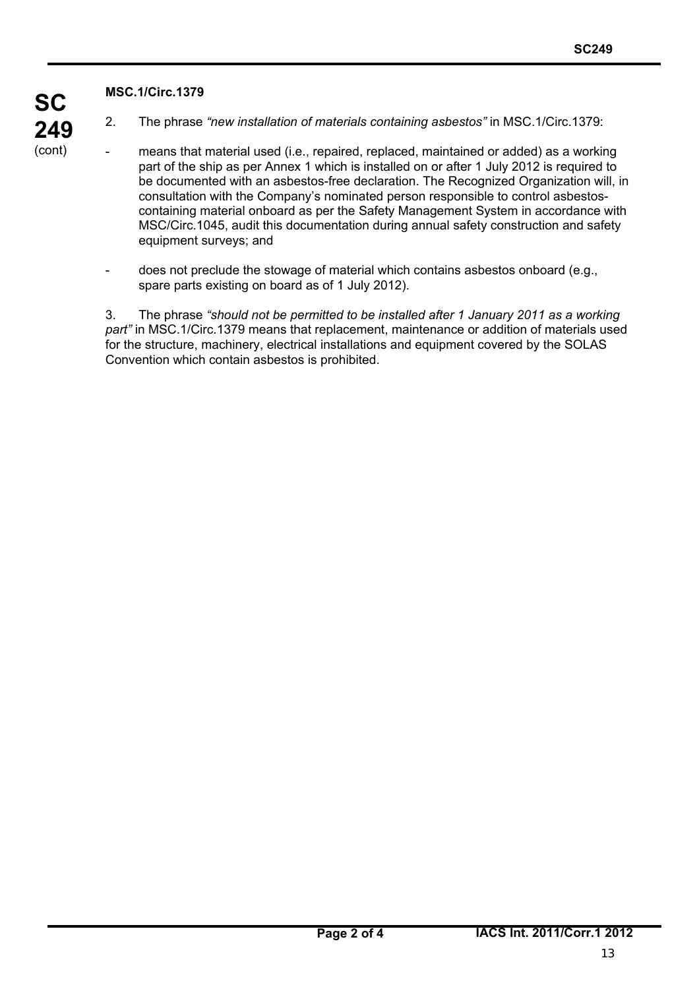#### **MSC.1/Circ.1379**

**SC**

**249** (cont)

2. The phrase *"new installation of materials containing asbestos"* in MSC.1/Circ.1379:

- means that material used (i.e., repaired, replaced, maintained or added) as a working part of the ship as per Annex 1 which is installed on or after 1 July 2012 is required to be documented with an asbestos-free declaration. The Recognized Organization will, in consultation with the Company's nominated person responsible to control asbestoscontaining material onboard as per the Safety Management System in accordance with MSC/Circ.1045, audit this documentation during annual safety construction and safety equipment surveys; and
	- does not preclude the stowage of material which contains asbestos onboard (e.g., spare parts existing on board as of 1 July 2012).

3. The phrase *"should not be permitted to be installed after 1 January 2011 as a working part"* in MSC.1/Circ.1379 means that replacement, maintenance or addition of materials used for the structure, machinery, electrical installations and equipment covered by the SOLAS Convention which contain asbestos is prohibited.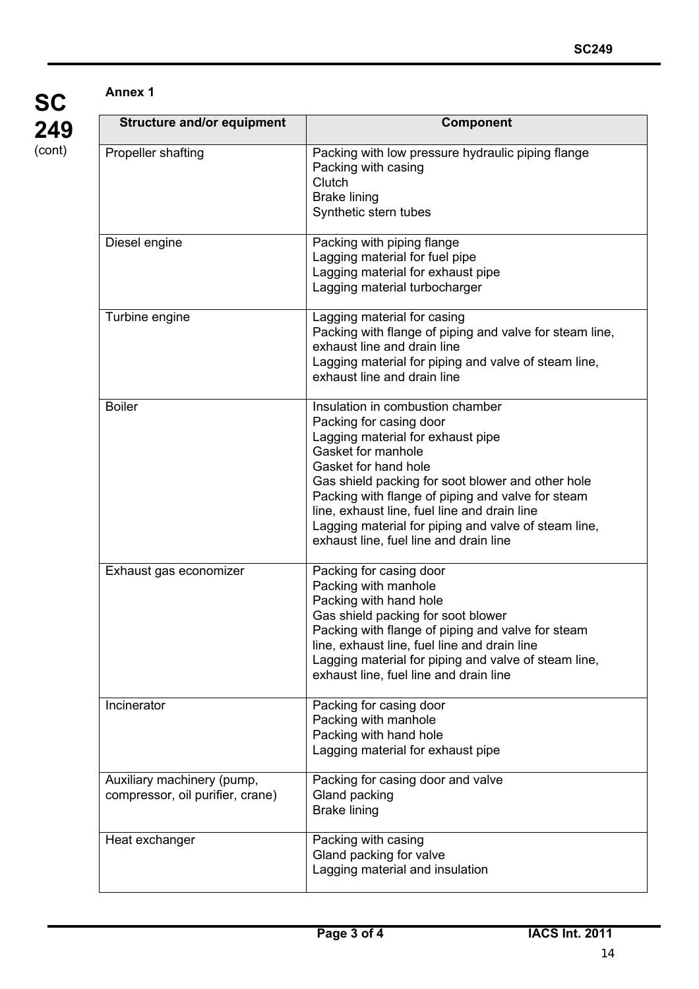## **SC 249** (cont)

#### **Annex 1**

| <b>Structure and/or equipment</b>                              | Component                                                                                                                                                                                                                                                                                                                                                                                                  |
|----------------------------------------------------------------|------------------------------------------------------------------------------------------------------------------------------------------------------------------------------------------------------------------------------------------------------------------------------------------------------------------------------------------------------------------------------------------------------------|
| Propeller shafting                                             | Packing with low pressure hydraulic piping flange<br>Packing with casing<br>Clutch<br><b>Brake lining</b><br>Synthetic stern tubes                                                                                                                                                                                                                                                                         |
| Diesel engine                                                  | Packing with piping flange<br>Lagging material for fuel pipe<br>Lagging material for exhaust pipe<br>Lagging material turbocharger                                                                                                                                                                                                                                                                         |
| Turbine engine                                                 | Lagging material for casing<br>Packing with flange of piping and valve for steam line,<br>exhaust line and drain line<br>Lagging material for piping and valve of steam line,<br>exhaust line and drain line                                                                                                                                                                                               |
| <b>Boiler</b>                                                  | Insulation in combustion chamber<br>Packing for casing door<br>Lagging material for exhaust pipe<br>Gasket for manhole<br>Gasket for hand hole<br>Gas shield packing for soot blower and other hole<br>Packing with flange of piping and valve for steam<br>line, exhaust line, fuel line and drain line<br>Lagging material for piping and valve of steam line,<br>exhaust line, fuel line and drain line |
| Exhaust gas economizer                                         | Packing for casing door<br>Packing with manhole<br>Packing with hand hole<br>Gas shield packing for soot blower<br>Packing with flange of piping and valve for steam<br>line, exhaust line, fuel line and drain line<br>Lagging material for piping and valve of steam line,<br>exhaust line, fuel line and drain line                                                                                     |
| Incinerator                                                    | Packing for casing door<br>Packing with manhole<br>Packing with hand hole<br>Lagging material for exhaust pipe                                                                                                                                                                                                                                                                                             |
| Auxiliary machinery (pump,<br>compressor, oil purifier, crane) | Packing for casing door and valve<br>Gland packing<br><b>Brake lining</b>                                                                                                                                                                                                                                                                                                                                  |
| Heat exchanger                                                 | Packing with casing<br>Gland packing for valve<br>Lagging material and insulation                                                                                                                                                                                                                                                                                                                          |